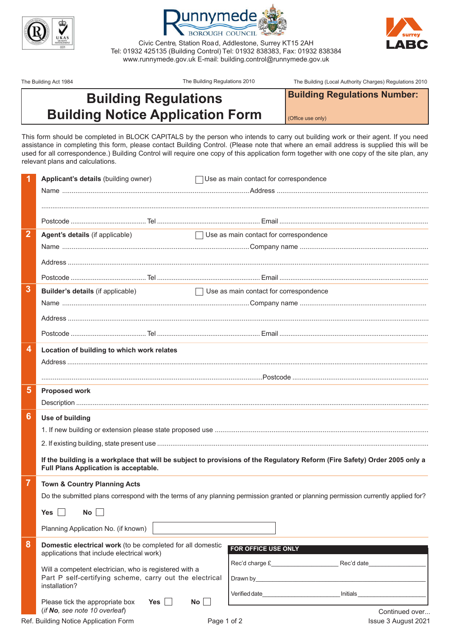



Civic Centre, Station Road, Addlestone, Surrey KT15 2AH Tel: 01932 425135 (Building Control) Tel: 01932 838383, Fax: 01932 838384 www.runnymede.gov.uk E-mail: building.control@runnymede.gov.uk

The Building Act 1984 The Building Regulations 2010 The Building (Local Authority Charges) Regulations 2010

**Building Regulations Number:**

## **Building Regulations Building Notice Application Form**

(Office use only)

This form should be completed in BLOCk CApiTALS by the person who intends to carry out building work or their agent. if you need assistance in completing this form, please contact Building Control. (please note that where an email address is supplied this will be used for all correspondence.) Building Control will require one copy of this application form together with one copy of the site plan, any relevant plans and calculations.

|                         | Applicant's details (building owner)                                                                                                                                | Use as main contact for correspondence                                                                                  |  |
|-------------------------|---------------------------------------------------------------------------------------------------------------------------------------------------------------------|-------------------------------------------------------------------------------------------------------------------------|--|
|                         |                                                                                                                                                                     |                                                                                                                         |  |
|                         |                                                                                                                                                                     |                                                                                                                         |  |
|                         |                                                                                                                                                                     |                                                                                                                         |  |
| $\overline{2}$          | Agent's details (if applicable)                                                                                                                                     | Use as main contact for correspondence                                                                                  |  |
|                         |                                                                                                                                                                     |                                                                                                                         |  |
|                         |                                                                                                                                                                     |                                                                                                                         |  |
|                         |                                                                                                                                                                     |                                                                                                                         |  |
| $\overline{3}$          | <b>Builder's details (if applicable)</b>                                                                                                                            | $\Box$ Use as main contact for correspondence                                                                           |  |
|                         |                                                                                                                                                                     |                                                                                                                         |  |
|                         |                                                                                                                                                                     |                                                                                                                         |  |
|                         |                                                                                                                                                                     |                                                                                                                         |  |
|                         |                                                                                                                                                                     |                                                                                                                         |  |
| $\overline{4}$          | Location of building to which work relates                                                                                                                          |                                                                                                                         |  |
|                         |                                                                                                                                                                     |                                                                                                                         |  |
|                         |                                                                                                                                                                     |                                                                                                                         |  |
| $\overline{\mathbf{5}}$ | <b>Proposed work</b>                                                                                                                                                |                                                                                                                         |  |
|                         |                                                                                                                                                                     |                                                                                                                         |  |
| $6\phantom{1}6$         | Use of building                                                                                                                                                     |                                                                                                                         |  |
|                         |                                                                                                                                                                     |                                                                                                                         |  |
|                         |                                                                                                                                                                     |                                                                                                                         |  |
|                         | If the building is a workplace that will be subject to provisions of the Regulatory Reform (Fire Safety) Order 2005 only a<br>Full Plans Application is acceptable. |                                                                                                                         |  |
| $\overline{7}$          | <b>Town &amp; Country Planning Acts</b>                                                                                                                             |                                                                                                                         |  |
|                         | Do the submitted plans correspond with the terms of any planning permission granted or planning permission currently applied for?                                   |                                                                                                                         |  |
|                         | Yes $\Box$ No $\Box$                                                                                                                                                |                                                                                                                         |  |
|                         | Planning Application No. (if known)                                                                                                                                 |                                                                                                                         |  |
| 8                       | Domestic electrical work (to be completed for all domestic<br>applications that include electrical work)                                                            | FOR OFFICE USE ONLY                                                                                                     |  |
|                         | Will a competent electrician, who is registered with a                                                                                                              | Rec'd charge £ Rec'd date                                                                                               |  |
|                         | Part P self-certifying scheme, carry out the electrical                                                                                                             |                                                                                                                         |  |
|                         | installation?                                                                                                                                                       | Verified date <b>Server and Server Server and Server Server Server Server Server Server Server Server Server Server</b> |  |
|                         | Yes $\vert \vert$<br>Please tick the appropriate box<br>No<br>(if No, see note 10 overleaf)                                                                         | Continued over                                                                                                          |  |